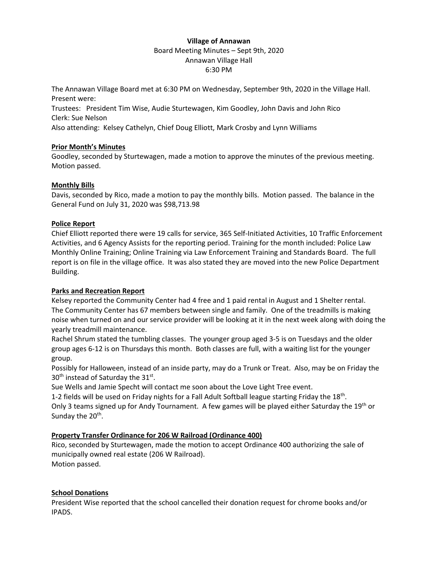## **Village of Annawan**

#### Board Meeting Minutes – Sept 9th, 2020 Annawan Village Hall 6:30 PM

The Annawan Village Board met at 6:30 PM on Wednesday, September 9th, 2020 in the Village Hall. Present were:

Trustees: President Tim Wise, Audie Sturtewagen, Kim Goodley, John Davis and John Rico Clerk: Sue Nelson

Also attending: Kelsey Cathelyn, Chief Doug Elliott, Mark Crosby and Lynn Williams

## **Prior Month's Minutes**

Goodley, seconded by Sturtewagen, made a motion to approve the minutes of the previous meeting. Motion passed.

# **Monthly Bills**

Davis, seconded by Rico, made a motion to pay the monthly bills. Motion passed. The balance in the General Fund on July 31, 2020 was \$98,713.98

# **Police Report**

Chief Elliott reported there were 19 calls for service, 365 Self-Initiated Activities, 10 Traffic Enforcement Activities, and 6 Agency Assists for the reporting period. Training for the month included: Police Law Monthly Online Training; Online Training via Law Enforcement Training and Standards Board. The full report is on file in the village office. It was also stated they are moved into the new Police Department Building.

# **Parks and Recreation Report**

Kelsey reported the Community Center had 4 free and 1 paid rental in August and 1 Shelter rental. The Community Center has 67 members between single and family. One of the treadmills is making noise when turned on and our service provider will be looking at it in the next week along with doing the yearly treadmill maintenance.

Rachel Shrum stated the tumbling classes. The younger group aged 3-5 is on Tuesdays and the older group ages 6-12 is on Thursdays this month. Both classes are full, with a waiting list for the younger group.

Possibly for Halloween, instead of an inside party, may do a Trunk or Treat. Also, may be on Friday the  $30<sup>th</sup>$  instead of Saturday the 31st.

Sue Wells and Jamie Specht will contact me soon about the Love Light Tree event.

1-2 fields will be used on Friday nights for a Fall Adult Softball league starting Friday the 18<sup>th</sup>. Only 3 teams signed up for Andy Tournament. A few games will be played either Saturday the 19th or Sunday the 20<sup>th</sup>.

# **Property Transfer Ordinance for 206 W Railroad (Ordinance 400)**

Rico, seconded by Sturtewagen, made the motion to accept Ordinance 400 authorizing the sale of municipally owned real estate (206 W Railroad). Motion passed.

# **School Donations**

President Wise reported that the school cancelled their donation request for chrome books and/or IPADS.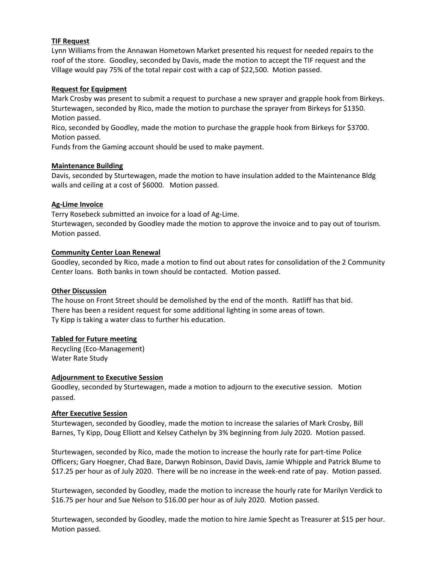### **TIF Request**

Lynn Williams from the Annawan Hometown Market presented his request for needed repairs to the roof of the store. Goodley, seconded by Davis, made the motion to accept the TIF request and the Village would pay 75% of the total repair cost with a cap of \$22,500. Motion passed.

#### **Request for Equipment**

Mark Crosby was present to submit a request to purchase a new sprayer and grapple hook from Birkeys. Sturtewagen, seconded by Rico, made the motion to purchase the sprayer from Birkeys for \$1350. Motion passed.

Rico, seconded by Goodley, made the motion to purchase the grapple hook from Birkeys for \$3700. Motion passed.

Funds from the Gaming account should be used to make payment.

#### **Maintenance Building**

Davis, seconded by Sturtewagen, made the motion to have insulation added to the Maintenance Bldg walls and ceiling at a cost of \$6000. Motion passed.

#### **Ag-Lime Invoice**

Terry Rosebeck submitted an invoice for a load of Ag-Lime.

Sturtewagen, seconded by Goodley made the motion to approve the invoice and to pay out of tourism. Motion passed.

#### **Community Center Loan Renewal**

Goodley, seconded by Rico, made a motion to find out about rates for consolidation of the 2 Community Center loans. Both banks in town should be contacted. Motion passed.

#### **Other Discussion**

The house on Front Street should be demolished by the end of the month. Ratliff has that bid. There has been a resident request for some additional lighting in some areas of town. Ty Kipp is taking a water class to further his education.

## **Tabled for Future meeting**

Recycling (Eco-Management) Water Rate Study

#### **Adjournment to Executive Session**

Goodley, seconded by Sturtewagen, made a motion to adjourn to the executive session. Motion passed.

#### **After Executive Session**

Sturtewagen, seconded by Goodley, made the motion to increase the salaries of Mark Crosby, Bill Barnes, Ty Kipp, Doug Elliott and Kelsey Cathelyn by 3% beginning from July 2020. Motion passed.

Sturtewagen, seconded by Rico, made the motion to increase the hourly rate for part-time Police Officers; Gary Hoegner, Chad Baze, Darwyn Robinson, David Davis, Jamie Whipple and Patrick Blume to \$17.25 per hour as of July 2020. There will be no increase in the week-end rate of pay. Motion passed.

Sturtewagen, seconded by Goodley, made the motion to increase the hourly rate for Marilyn Verdick to \$16.75 per hour and Sue Nelson to \$16.00 per hour as of July 2020. Motion passed.

Sturtewagen, seconded by Goodley, made the motion to hire Jamie Specht as Treasurer at \$15 per hour. Motion passed.